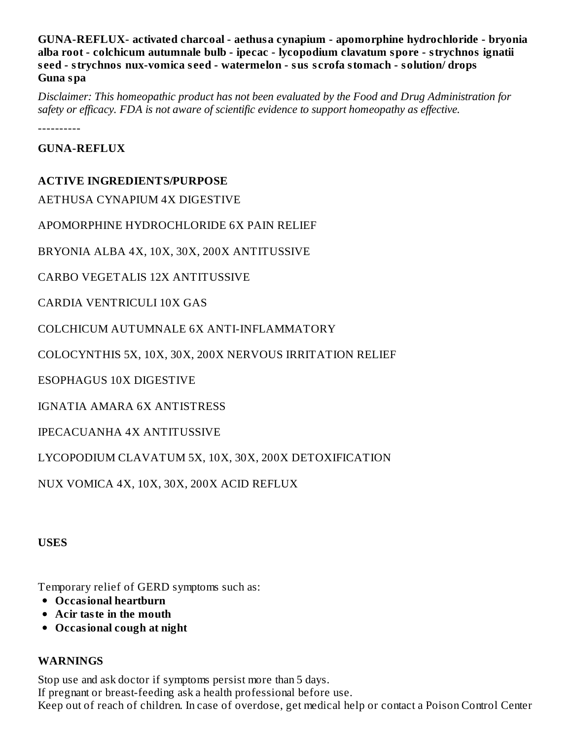**GUNA-REFLUX- activated charcoal - aethusa cynapium - apomorphine hydrochloride - bryonia alba root - colchicum autumnale bulb - ipecac - lycopodium clavatum spore - strychnos ignatii s eed - strychnos nux-vomica s eed - watermelon - sus s crofa stomach - solution/ drops Guna spa**

*Disclaimer: This homeopathic product has not been evaluated by the Food and Drug Administration for safety or efficacy. FDA is not aware of scientific evidence to support homeopathy as effective.*

----------

**GUNA-REFLUX**

#### **ACTIVE INGREDIENTS/PURPOSE**

AETHUSA CYNAPIUM 4X DIGESTIVE

APOMORPHINE HYDROCHLORIDE 6X PAIN RELIEF

BRYONIA ALBA 4X, 10X, 30X, 200X ANTITUSSIVE

CARBO VEGETALIS 12X ANTITUSSIVE

CARDIA VENTRICULI 10X GAS

COLCHICUM AUTUMNALE 6X ANTI-INFLAMMATORY

COLOCYNTHIS 5X, 10X, 30X, 200X NERVOUS IRRITATION RELIEF

ESOPHAGUS 10X DIGESTIVE

IGNATIA AMARA 6X ANTISTRESS

IPECACUANHA 4X ANTITUSSIVE

LYCOPODIUM CLAVATUM 5X, 10X, 30X, 200X DETOXIFICATION

NUX VOMICA 4X, 10X, 30X, 200X ACID REFLUX

**USES**

Temporary relief of GERD symptoms such as:

- **Occasional heartburn**
- **Acir taste in the mouth**
- **Occasional cough at night**

#### **WARNINGS**

Stop use and ask doctor if symptoms persist more than 5 days. If pregnant or breast-feeding ask a health professional before use. Keep out of reach of children. In case of overdose, get medical help or contact a Poison Control Center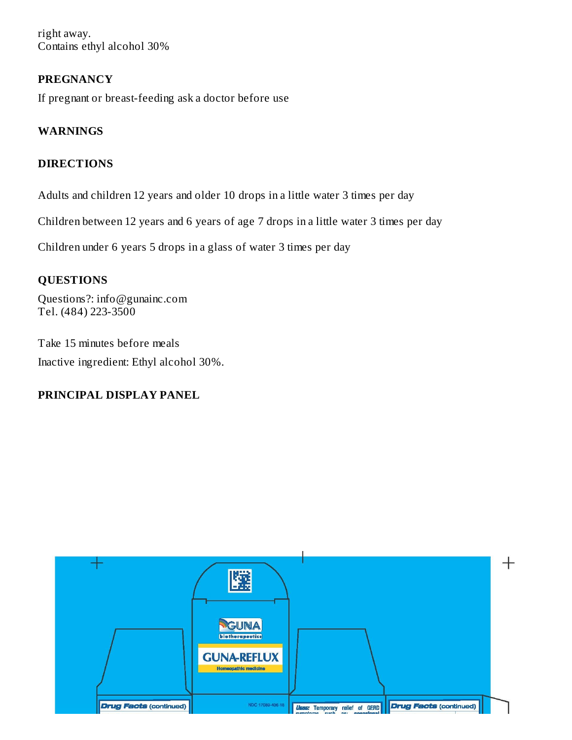right away. Contains ethyl alcohol 30%

### **PREGNANCY**

If pregnant or breast-feeding ask a doctor before use

## **WARNINGS**

### **DIRECTIONS**

Adults and children 12 years and older 10 drops in a little water 3 times per day

Children between 12 years and 6 years of age 7 drops in a little water 3 times per day

Children under 6 years 5 drops in a glass of water 3 times per day

#### **QUESTIONS**

Questions?: info@gunainc.com Tel. (484) 223-3500

Take 15 minutes before meals Inactive ingredient: Ethyl alcohol 30%.

#### **PRINCIPAL DISPLAY PANEL**

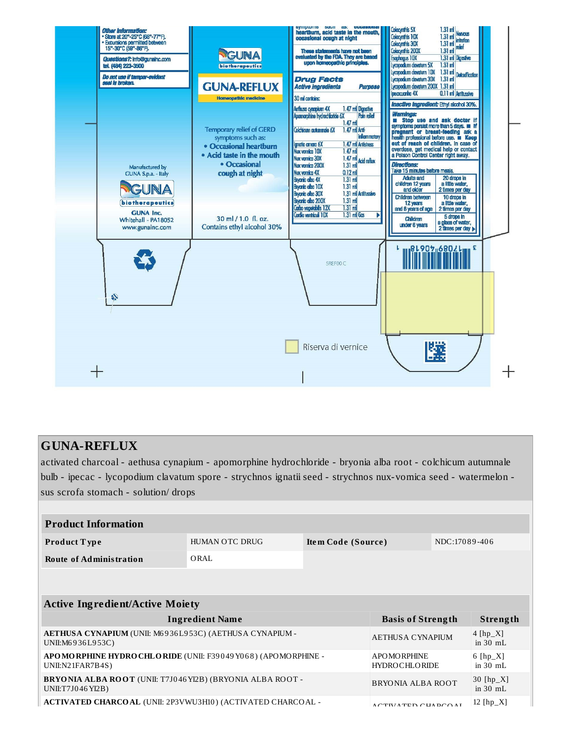

# **GUNA-REFLUX**

activated charcoal - aethusa cynapium - apomorphine hydrochloride - bryonia alba root - colchicum autumnale bulb - ipecac - lycopodium clavatum spore - strychnos ignatii seed - strychnos nux-vomica seed - watermelon sus scrofa stomach - solution/ drops

| <b>Product Information</b>                                                             |                                                       |  |                                        |          |                                  |
|----------------------------------------------------------------------------------------|-------------------------------------------------------|--|----------------------------------------|----------|----------------------------------|
| Product Type                                                                           | HUMAN OTC DRUG<br>NDC:17089-406<br>Item Code (Source) |  |                                        |          |                                  |
| <b>Route of Administration</b>                                                         | ORAL                                                  |  |                                        |          |                                  |
|                                                                                        |                                                       |  |                                        |          |                                  |
|                                                                                        |                                                       |  |                                        |          |                                  |
| <b>Active Ingredient/Active Moiety</b>                                                 |                                                       |  |                                        |          |                                  |
| <b>Basis of Strength</b><br><b>Ingredient Name</b>                                     |                                                       |  |                                        | Strength |                                  |
| AETHUSA CYNAPIUM (UNII: M6936L953C) (AETHUSA CYNAPIUM -<br>UNII:M6936L953C)            |                                                       |  | <b>AETHUSA CYNAPIUM</b>                |          | $4 [hp_X]$<br>in $30$ mL         |
| APO MO RPHINE HYDRO CHLO RIDE (UNII: F39049 Y068) (APO MO RPHINE -<br>UNII:N21FAR7B4S) |                                                       |  | A PO MO RPHINE<br><b>HYDROCHLORIDE</b> |          |                                  |
|                                                                                        |                                                       |  |                                        |          | 6 $[hp_X]$<br>in $30 \text{ mL}$ |
| BRYONIA ALBA ROOT (UNII: T7J046 YI2B) (BRYONIA ALBA ROOT -<br>UNII:T7J046 YI2B)        |                                                       |  | <b>BRYONIA ALBA ROOT</b>               |          | 30 $[hp_X]$<br>in $30$ mL        |